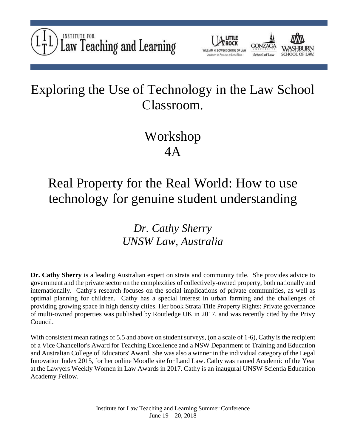



# Exploring the Use of Technology in the Law School Classroom.

# Workshop 4A

## Real Property for the Real World: How to use technology for genuine student understanding

### *Dr. Cathy Sherry UNSW Law, Australia*

**Dr. Cathy Sherry** is a leading Australian expert on strata and community title. She provides advice to government and the private sector on the complexities of collectively-owned property, both nationally and internationally. Cathy's research focuses on the social implications of private communities, as well as optimal planning for children. Cathy has a special interest in urban farming and the challenges of providing growing space in high density cities. Her book Strata Title Property Rights: Private governance of multi-owned properties was published by Routledge UK in 2017, and was recently cited by the Privy Council.

With consistent mean ratings of 5.5 and above on student surveys, (on a scale of 1-6), Cathy is the recipient of a Vice Chancellor's Award for Teaching Excellence and a NSW Department of Training and Education and Australian College of Educators' Award. She was also a winner in the individual category of the Legal Innovation Index 2015, for her online Moodle site for Land Law. Cathy was named Academic of the Year at the Lawyers Weekly Women in Law Awards in 2017. Cathy is an inaugural UNSW Scientia Education Academy Fellow.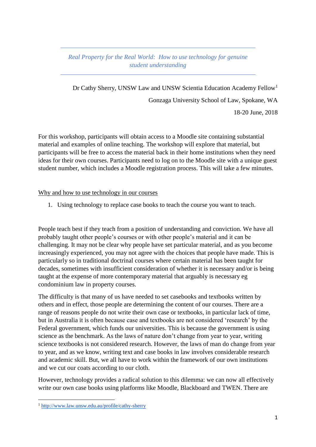#### *Real Property for the Real World: How to use technology for genuine student understanding*

Dr Cathy Sherry, UNSW Law and UNSW Scientia Education Academy Fellow<sup>1</sup> Gonzaga University School of Law, Spokane, WA 18-20 June, 2018

For this workshop, participants will obtain access to a Moodle site containing substantial material and examples of online teaching. The workshop will explore that material, but participants will be free to access the material back in their home institutions when they need ideas for their own courses. Participants need to log on to the Moodle site with a unique guest student number, which includes a Moodle registration process. This will take a few minutes.

Why and how to use technology in our courses

1. Using technology to replace case books to teach the course you want to teach.

People teach best if they teach from a position of understanding and conviction. We have all probably taught other people's courses or with other people's material and it can be challenging. It may not be clear why people have set particular material, and as you become increasingly experienced, you may not agree with the choices that people have made. This is particularly so in traditional doctrinal courses where certain material has been taught for decades, sometimes with insufficient consideration of whether it is necessary and/or is being taught at the expense of more contemporary material that arguably is necessary eg condominium law in property courses.

The difficulty is that many of us have needed to set casebooks and textbooks written by others and in effect, those people are determining the content of our courses. There are a range of reasons people do not write their own case or textbooks, in particular lack of time, but in Australia it is often because case and textbooks are not considered 'research' by the Federal government, which funds our universities. This is because the government is using science as the benchmark. As the laws of nature don't change from year to year, writing science textbooks is not considered research. However, the laws of man do change from year to year, and as we know, writing text and case books in law involves considerable research and academic skill. But, we all have to work within the framework of our own institutions and we cut our coats according to our cloth.

However, technology provides a radical solution to this dilemma: we can now all effectively write our own case books using platforms like Moodle, Blackboard and TWEN. There are

**.** 

<sup>1</sup> <http://www.law.unsw.edu.au/profile/cathy-sherry>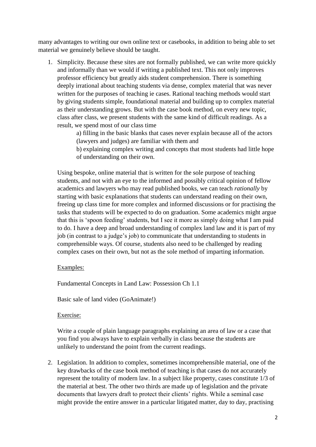many advantages to writing our own online text or casebooks, in addition to being able to set material we genuinely believe should be taught.

1. Simplicity. Because these sites are not formally published, we can write more quickly and informally than we would if writing a published text. This not only improves professor efficiency but greatly aids student comprehension. There is something deeply irrational about teaching students via dense, complex material that was never written for the purposes of teaching ie cases. Rational teaching methods would start by giving students simple, foundational material and building up to complex material as their understanding grows. But with the case book method, on every new topic, class after class, we present students with the same kind of difficult readings. As a result, we spend most of our class time

a) filling in the basic blanks that cases never explain because all of the actors (lawyers and judges) are familiar with them and

b) explaining complex writing and concepts that most students had little hope of understanding on their own.

Using bespoke, online material that is written for the sole purpose of teaching students, and not with an eye to the informed and possibly critical opinion of fellow academics and lawyers who may read published books, we can teach *rationally* by starting with basic explanations that students can understand reading on their own, freeing up class time for more complex and informed discussions or for practising the tasks that students will be expected to do on graduation. Some academics might argue that this is 'spoon feeding' students, but I see it more as simply doing what I am paid to do. I have a deep and broad understanding of complex land law and it is part of my job (in contrast to a judge's job) to communicate that understanding to students in comprehensible ways. Of course, students also need to be challenged by reading complex cases on their own, but not as the sole method of imparting information.

#### Examples:

Fundamental Concepts in Land Law: Possession Ch 1.1

Basic sale of land video (GoAnimate!)

Exercise:

Write a couple of plain language paragraphs explaining an area of law or a case that you find you always have to explain verbally in class because the students are unlikely to understand the point from the current readings.

2. Legislation. In addition to complex, sometimes incomprehensible material, one of the key drawbacks of the case book method of teaching is that cases do not accurately represent the totality of modern law. In a subject like property, cases constitute 1/3 of the material at best. The other two thirds are made up of legislation and the private documents that lawyers draft to protect their clients' rights. While a seminal case might provide the entire answer in a particular litigated matter, day to day, practising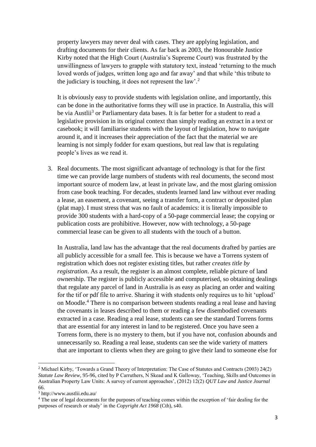property lawyers may never deal with cases. They are applying legislation, and drafting documents for their clients. As far back as 2003, the Honourable Justice Kirby noted that the High Court (Australia's Supreme Court) was frustrated by the unwillingness of lawyers to grapple with statutory text, instead 'returning to the much loved words of judges, written long ago and far away' and that while 'this tribute to the judiciary is touching, it does not represent the law'.<sup>2</sup>

It is obviously easy to provide students with legislation online, and importantly, this can be done in the authoritative forms they will use in practice. In Australia, this will be via Austlii<sup>3</sup> or Parliamentary data bases. It is far better for a student to read a legislative provision in its original context than simply reading an extract in a text or casebook; it will familiarise students with the layout of legislation, how to navigate around it, and it increases their appreciation of the fact that the material we are learning is not simply fodder for exam questions, but real law that is regulating people's lives as we read it.

3. Real documents. The most significant advantage of technology is that for the first time we can provide large numbers of students with real documents, the second most important source of modern law, at least in private law, and the most glaring omission from case book teaching. For decades, students learned land law without ever reading a lease, an easement, a covenant, seeing a transfer form, a contract or deposited plan (plat map). I must stress that was no fault of academics: it is literally impossible to provide 300 students with a hard-copy of a 50-page commercial lease; the copying or publication costs are prohibitive. However, now with technology, a 50-page commercial lease can be given to all students with the touch of a button.

In Australia, land law has the advantage that the real documents drafted by parties are all publicly accessible for a small fee. This is because we have a Torrens system of registration which does not register existing titles, but rather *creates title by registration*. As a result, the register is an almost complete, reliable picture of land ownership. The register is publicly accessible and computerised, so obtaining dealings that regulate any parcel of land in Australia is as easy as placing an order and waiting for the tif or pdf file to arrive. Sharing it with students only requires us to hit 'upload' on Moodle.<sup>4</sup> There is no comparison between students reading a real lease and having the covenants in leases described to them or reading a few disembodied covenants extracted in a case. Reading a real lease, students can see the standard Torrens forms that are essential for any interest in land to be registered. Once you have seen a Torrens form, there is no mystery to them, but if you have not, confusion abounds and unnecessarily so. Reading a real lease, students can see the wide variety of matters that are important to clients when they are going to give their land to someone else for

**.** 

<sup>&</sup>lt;sup>2</sup> Michael Kirby, 'Towards a Grand Theory of Interpretation: The Case of Statutes and Contracts (2003) 24(2) *Statute Law Review*, 95-96, cited by P Carruthers, N Skead and K Galloway, 'Teaching, Skills and Outcomes in Australian Property Law Units: A survey of current approaches', (2012) 12(2) *QUT Law and Justice Journal* 66.

<sup>3</sup> http://www.austlii.edu.au/

<sup>&</sup>lt;sup>4</sup> The use of legal documents for the purposes of teaching comes within the exception of 'fair dealing for the purposes of research or study' in the *Copyright Act 1968* (Cth), s40.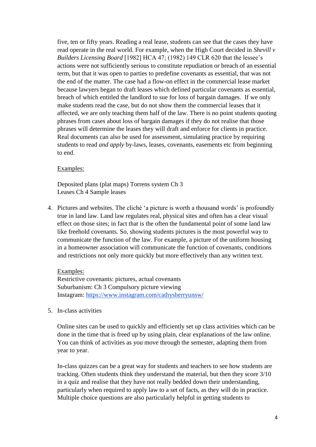five, ten or fifty years. Reading a real lease, students can see that the cases they have read operate in the real world. For example, when the High Court decided in *Shevill v Builders Licensing Board* [1982] HCA 47; (1982) 149 CLR 620 that the lessee's actions were not sufficiently serious to constitute repudiation or breach of an essential term, but that it was open to parties to predefine covenants as essential, that was not the end of the matter. The case had a flow-on effect in the commercial lease market because lawyers began to draft leases which defined particular covenants as essential, breach of which entitled the landlord to sue for loss of bargain damages. If we only make students read the case, but do not show them the commercial leases that it affected, we are only teaching them half of the law. There is no point students quoting phrases from cases about loss of bargain damages if they do not realise that those phrases will determine the leases they will draft and enforce for clients in practice. Real documents can also be used for assessment, simulating practice by requiring students to read *and apply* by-laws, leases, covenants, easements etc from beginning to end.

#### Examples:

Deposited plans (plat maps) Torrens system Ch 3 Leases Ch 4 Sample leases

4. Pictures and websites. The cliché 'a picture is worth a thousand words' is profoundly true in land law. Land law regulates real, physical sites and often has a clear visual effect on those sites; in fact that is the often the fundamental point of some land law like freehold covenants. So, showing students pictures is the most powerful way to communicate the function of the law. For example, a picture of the uniform housing in a homeowner association will communicate the function of covenants, conditions and restrictions not only more quickly but more effectively than any written text.

Examples:

Restrictive covenants: pictures, actual covenants Suburbanism: Ch 3 Compulsory picture viewing Instagram:<https://www.instagram.com/cathysherryunsw/>

5. In-class activities

Online sites can be used to quickly and efficiently set up class activities which can be done in the time that is freed up by using plain, clear explanations of the law online. You can think of activities as you move through the semester, adapting them from year to year.

In-class quizzes can be a great way for students and teachers to see how students are tracking. Often students think they understand the material, but then they score 3/10 in a quiz and realise that they have not really bedded down their understanding, particularly when required to apply law to a set of facts, as they will do in practice. Multiple choice questions are also particularly helpful in getting students to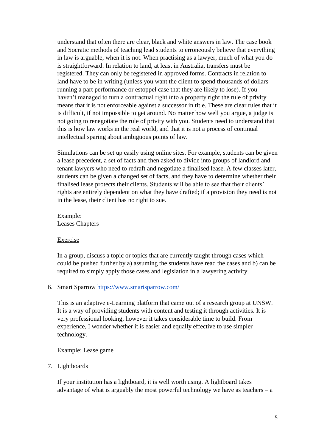understand that often there are clear, black and white answers in law. The case book and Socratic methods of teaching lead students to erroneously believe that everything in law is arguable, when it is not. When practising as a lawyer, much of what you do is straightforward. In relation to land, at least in Australia, transfers must be registered. They can only be registered in approved forms. Contracts in relation to land have to be in writing (unless you want the client to spend thousands of dollars running a part performance or estoppel case that they are likely to lose). If you haven't managed to turn a contractual right into a property right the rule of privity means that it is not enforceable against a successor in title. These are clear rules that it is difficult, if not impossible to get around. No matter how well you argue, a judge is not going to renegotiate the rule of privity with you. Students need to understand that this is how law works in the real world, and that it is not a process of continual intellectual sparing about ambiguous points of law.

Simulations can be set up easily using online sites. For example, students can be given a lease precedent, a set of facts and then asked to divide into groups of landlord and tenant lawyers who need to redraft and negotiate a finalised lease. A few classes later, students can be given a changed set of facts, and they have to determine whether their finalised lease protects their clients. Students will be able to see that their clients' rights are entirely dependent on what they have drafted; if a provision they need is not in the lease, their client has no right to sue.

Example: Leases Chapters

#### Exercise

In a group, discuss a topic or topics that are currently taught through cases which could be pushed further by a) assuming the students have read the cases and b) can be required to simply apply those cases and legislation in a lawyering activity.

#### 6. Smart Sparrow <https://www.smartsparrow.com/>

This is an adaptive e-Learning platform that came out of a research group at UNSW. It is a way of providing students with content and testing it through activities. It is very professional looking, however it takes considerable time to build. From experience, I wonder whether it is easier and equally effective to use simpler technology.

Example: Lease game

#### 7. Lightboards

If your institution has a lightboard, it is well worth using. A lightboard takes advantage of what is arguably the most powerful technology we have as teachers – a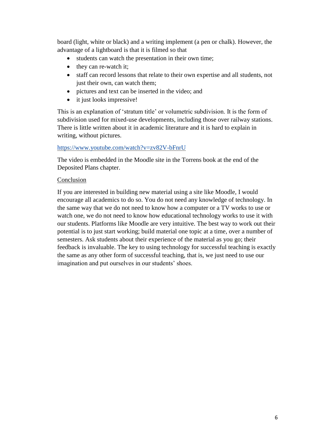board (light, white or black) and a writing implement (a pen or chalk). However, the advantage of a lightboard is that it is filmed so that

- students can watch the presentation in their own time;
- they can re-watch it;
- staff can record lessons that relate to their own expertise and all students, not just their own, can watch them;
- pictures and text can be inserted in the video; and
- it just looks impressive!

This is an explanation of 'stratum title' or volumetric subdivision. It is the form of subdivision used for mixed-use developments, including those over railway stations. There is little written about it in academic literature and it is hard to explain in writing, without pictures.

#### <https://www.youtube.com/watch?v=zv82V-bFnrU>

The video is embedded in the Moodle site in the Torrens book at the end of the Deposited Plans chapter.

#### Conclusion

If you are interested in building new material using a site like Moodle, I would encourage all academics to do so. You do not need any knowledge of technology. In the same way that we do not need to know how a computer or a TV works to use or watch one, we do not need to know how educational technology works to use it with our students. Platforms like Moodle are very intuitive. The best way to work out their potential is to just start working; build material one topic at a time, over a number of semesters. Ask students about their experience of the material as you go; their feedback is invaluable. The key to using technology for successful teaching is exactly the same as any other form of successful teaching, that is, we just need to use our imagination and put ourselves in our students' shoes.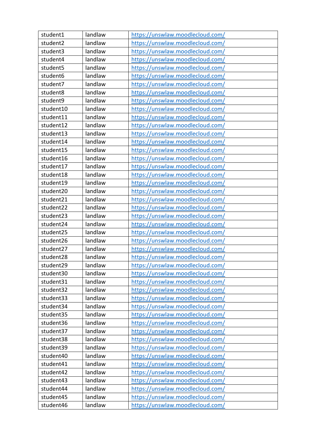| student1  | landlaw | https://unswlaw.moodlecloud.com/ |
|-----------|---------|----------------------------------|
| student2  | landlaw | https://unswlaw.moodlecloud.com/ |
| student3  | landlaw | https://unswlaw.moodlecloud.com/ |
| student4  | landlaw | https://unswlaw.moodlecloud.com/ |
| student5  | landlaw | https://unswlaw.moodlecloud.com/ |
| student6  | landlaw | https://unswlaw.moodlecloud.com/ |
| student7  | landlaw | https://unswlaw.moodlecloud.com/ |
| student8  | landlaw | https://unswlaw.moodlecloud.com/ |
| student9  | landlaw | https://unswlaw.moodlecloud.com/ |
| student10 | landlaw | https://unswlaw.moodlecloud.com/ |
| student11 | landlaw | https://unswlaw.moodlecloud.com/ |
| student12 | landlaw | https://unswlaw.moodlecloud.com/ |
| student13 | landlaw | https://unswlaw.moodlecloud.com/ |
| student14 | landlaw | https://unswlaw.moodlecloud.com/ |
| student15 | landlaw | https://unswlaw.moodlecloud.com/ |
| student16 | landlaw | https://unswlaw.moodlecloud.com/ |
| student17 | landlaw | https://unswlaw.moodlecloud.com/ |
| student18 | landlaw | https://unswlaw.moodlecloud.com/ |
| student19 | landlaw | https://unswlaw.moodlecloud.com/ |
| student20 | landlaw | https://unswlaw.moodlecloud.com/ |
| student21 | landlaw | https://unswlaw.moodlecloud.com/ |
| student22 | landlaw | https://unswlaw.moodlecloud.com/ |
| student23 | landlaw | https://unswlaw.moodlecloud.com/ |
| student24 | landlaw | https://unswlaw.moodlecloud.com/ |
| student25 | landlaw | https://unswlaw.moodlecloud.com/ |
| student26 | landlaw | https://unswlaw.moodlecloud.com/ |
| student27 | landlaw | https://unswlaw.moodlecloud.com/ |
| student28 | landlaw | https://unswlaw.moodlecloud.com/ |
| student29 | landlaw | https://unswlaw.moodlecloud.com/ |
| student30 | landlaw | https://unswlaw.moodlecloud.com/ |
| student31 | landlaw | https://unswlaw.moodlecloud.com/ |
| student32 | landlaw | https://unswlaw.moodlecloud.com/ |
| student33 | landlaw | https://unswlaw.moodlecloud.com/ |
| student34 | landlaw | https://unswlaw.moodlecloud.com/ |
| student35 | landlaw | https://unswlaw.moodlecloud.com/ |
| student36 | landlaw | https://unswlaw.moodlecloud.com/ |
| student37 | landlaw | https://unswlaw.moodlecloud.com/ |
| student38 | landlaw | https://unswlaw.moodlecloud.com/ |
| student39 | landlaw | https://unswlaw.moodlecloud.com/ |
| student40 | landlaw | https://unswlaw.moodlecloud.com/ |
| student41 | landlaw | https://unswlaw.moodlecloud.com/ |
| student42 | landlaw | https://unswlaw.moodlecloud.com/ |
| student43 | landlaw | https://unswlaw.moodlecloud.com/ |
| student44 | landlaw | https://unswlaw.moodlecloud.com/ |
| student45 | landlaw | https://unswlaw.moodlecloud.com/ |
| student46 | landlaw | https://unswlaw.moodlecloud.com/ |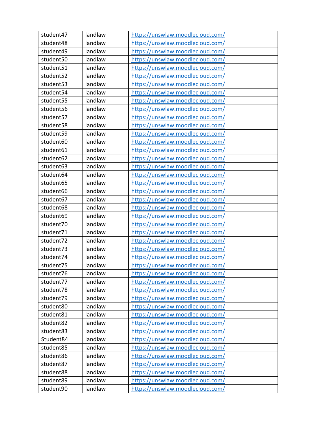| student47 | landlaw | https://unswlaw.moodlecloud.com/ |
|-----------|---------|----------------------------------|
| student48 | landlaw | https://unswlaw.moodlecloud.com/ |
| student49 | landlaw | https://unswlaw.moodlecloud.com/ |
| student50 | landlaw | https://unswlaw.moodlecloud.com/ |
| student51 | landlaw | https://unswlaw.moodlecloud.com/ |
| student52 | landlaw | https://unswlaw.moodlecloud.com/ |
| student53 | landlaw | https://unswlaw.moodlecloud.com/ |
| student54 | landlaw | https://unswlaw.moodlecloud.com/ |
| student55 | landlaw | https://unswlaw.moodlecloud.com/ |
| student56 | landlaw | https://unswlaw.moodlecloud.com/ |
| student57 | landlaw | https://unswlaw.moodlecloud.com/ |
| student58 | landlaw | https://unswlaw.moodlecloud.com/ |
| student59 | landlaw | https://unswlaw.moodlecloud.com/ |
| student60 | landlaw | https://unswlaw.moodlecloud.com/ |
| student61 | landlaw | https://unswlaw.moodlecloud.com/ |
| student62 | landlaw | https://unswlaw.moodlecloud.com/ |
| student63 | landlaw | https://unswlaw.moodlecloud.com/ |
| student64 | landlaw | https://unswlaw.moodlecloud.com/ |
| student65 | landlaw | https://unswlaw.moodlecloud.com/ |
| student66 | landlaw | https://unswlaw.moodlecloud.com/ |
| student67 | landlaw | https://unswlaw.moodlecloud.com/ |
| student68 | landlaw | https://unswlaw.moodlecloud.com/ |
| student69 | landlaw | https://unswlaw.moodlecloud.com/ |
| student70 | landlaw | https://unswlaw.moodlecloud.com/ |
| student71 | landlaw | https://unswlaw.moodlecloud.com/ |
| student72 | landlaw | https://unswlaw.moodlecloud.com/ |
| student73 | landlaw | https://unswlaw.moodlecloud.com/ |
| student74 | landlaw | https://unswlaw.moodlecloud.com/ |
| student75 | landlaw | https://unswlaw.moodlecloud.com/ |
| student76 | landlaw | https://unswlaw.moodlecloud.com/ |
| student77 | landlaw | https://unswlaw.moodlecloud.com/ |
| student78 | landlaw | https://unswlaw.moodlecloud.com/ |
| student79 | landlaw | https://unswlaw.moodlecloud.com/ |
| student80 | landlaw | https://unswlaw.moodlecloud.com/ |
| student81 | landlaw | https://unswlaw.moodlecloud.com/ |
| student82 | landlaw | https://unswlaw.moodlecloud.com/ |
| student83 | landlaw | https://unswlaw.moodlecloud.com/ |
| Student84 | landlaw | https://unswlaw.moodlecloud.com/ |
| student85 | landlaw | https://unswlaw.moodlecloud.com/ |
| student86 | landlaw | https://unswlaw.moodlecloud.com/ |
| student87 | landlaw | https://unswlaw.moodlecloud.com/ |
| student88 | landlaw | https://unswlaw.moodlecloud.com/ |
| student89 | landlaw | https://unswlaw.moodlecloud.com/ |
| student90 | landlaw | https://unswlaw.moodlecloud.com/ |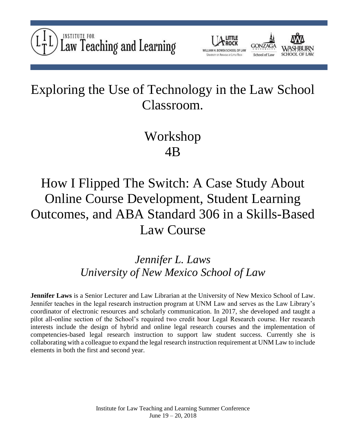



## Exploring the Use of Technology in the Law School Classroom.

## Workshop 4B

# How I Flipped The Switch: A Case Study About Online Course Development, Student Learning Outcomes, and ABA Standard 306 in a Skills-Based Law Course

### *Jennifer L. Laws University of New Mexico School of Law*

**Jennifer Laws** is a Senior Lecturer and Law Librarian at the University of New Mexico School of Law. Jennifer teaches in the legal research instruction program at UNM Law and serves as the Law Library's coordinator of electronic resources and scholarly communication. In 2017, she developed and taught a pilot all-online section of the School's required two credit hour Legal Research course. Her research interests include the design of hybrid and online legal research courses and the implementation of competencies-based legal research instruction to support law student success. Currently she is collaborating with a colleague to expand the legal research instruction requirement at UNM Law to include elements in both the first and second year.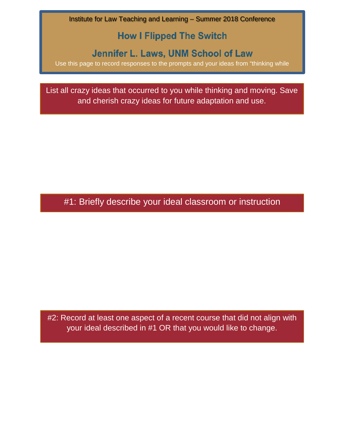Institute for Law Teaching and Learning – Summer 2018 Conference

### **How I Flipped The Switch**

### Jennifer L. Laws, UNM School of Law

Use this page to record responses to the prompts and your ideas from "thinking while

i "

List all crazy ideas that occurred to you while thinking and moving. Save and cherish crazy ideas for future adaptation and use.

#1: Briefly describe your ideal classroom or instruction

#2: Record at least one aspect of a recent course that did not align with your ideal described in #1 OR that you would like to change.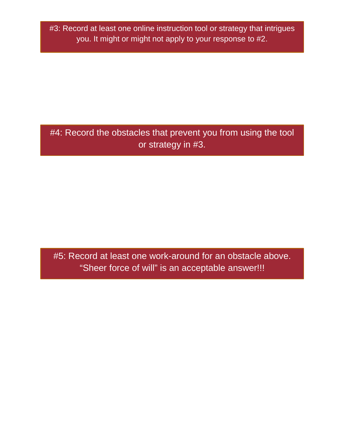#3: Record at least one online instruction tool or strategy that intrigues you. It might or might not apply to your response to #2.

#4: Record the obstacles that prevent you from using the tool or strategy in #3.

#5: Record at least one work-around for an obstacle above. "Sheer force of will" is an acceptable answer!!!